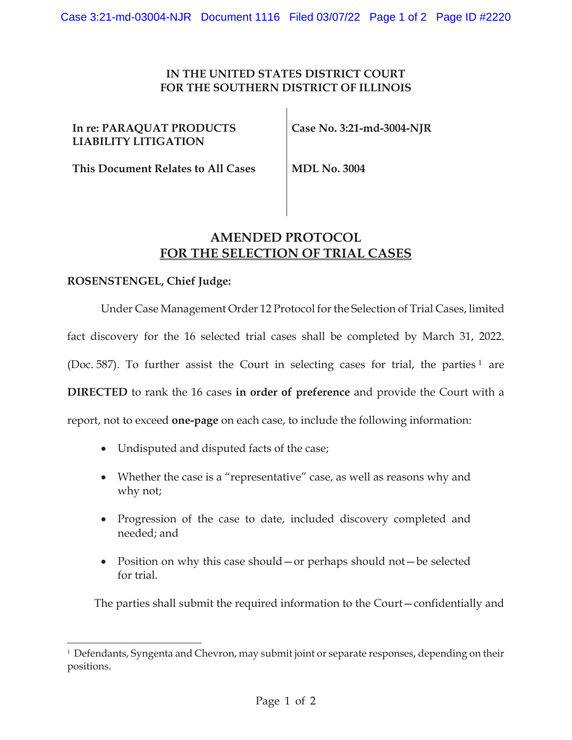## **IN THE UNITED STATES DISTRICT COURT FOR THE SOUTHERN DISTRICT OF ILLINOIS**

 $\mathbf{I}$ 

| In re: PARAQUAT PRODUCTS<br><b>LIABILITY LITIGATION</b> | Case No. 3:21-md-3004-NJR |
|---------------------------------------------------------|---------------------------|
| This Document Relates to All Cases                      | <b>MDL No. 3004</b>       |

## **AMENDED PROTOCOL FOR THE SELECTION OF TRIAL CASES**

## **ROSENSTENGEL, Chief Judge:**

Under Case Management Order 12 Protocol for the Selection of Trial Cases, limited fact discovery for the 16 selected trial cases shall be completed by March 31, 2022. (Doc. 587). To further assist the Court in selecting cases for trial, the parties  $1$  are **DIRECTED** to rank the 16 cases **in order of preference** and provide the Court with a report, not to exceed **one-page** on each case, to include the following information:

- Undisputed and disputed facts of the case;
- Whether the case is a "representative" case, as well as reasons why and why not;
- Progression of the case to date, included discovery completed and needed; and
- Position on why this case should or perhaps should not—be selected for trial.

The parties shall submit the required information to the Court—confidentially and

<sup>&</sup>lt;sup>1</sup> Defendants, Syngenta and Chevron, may submit joint or separate responses, depending on their positions.